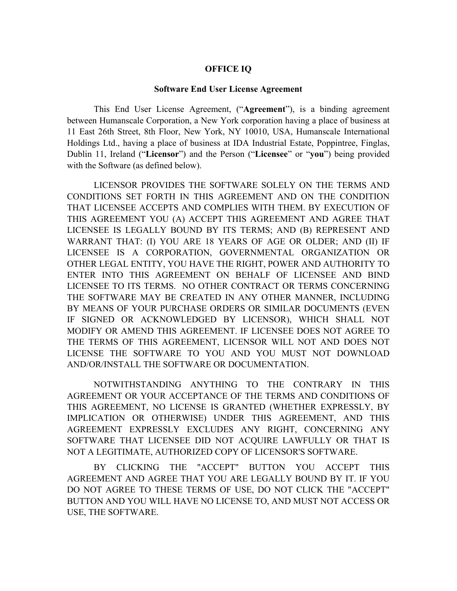#### **OFFICE IQ**

#### **Software End User License Agreement**

This End User License Agreement, ("**Agreement**"), is a binding agreement between Humanscale Corporation, a New York corporation having a place of business at 11 East 26th Street, 8th Floor, New York, NY 10010, USA, Humanscale International Holdings Ltd., having a place of business at IDA Industrial Estate, Poppintree, Finglas, Dublin 11, Ireland ("**Licensor**") and the Person ("**Licensee**" or "**you**") being provided with the Software (as defined below).

LICENSOR PROVIDES THE SOFTWARE SOLELY ON THE TERMS AND CONDITIONS SET FORTH IN THIS AGREEMENT AND ON THE CONDITION THAT LICENSEE ACCEPTS AND COMPLIES WITH THEM. BY EXECUTION OF THIS AGREEMENT YOU (A) ACCEPT THIS AGREEMENT AND AGREE THAT LICENSEE IS LEGALLY BOUND BY ITS TERMS; AND (B) REPRESENT AND WARRANT THAT: (I) YOU ARE 18 YEARS OF AGE OR OLDER; AND (II) IF LICENSEE IS A CORPORATION, GOVERNMENTAL ORGANIZATION OR OTHER LEGAL ENTITY, YOU HAVE THE RIGHT, POWER AND AUTHORITY TO ENTER INTO THIS AGREEMENT ON BEHALF OF LICENSEE AND BIND LICENSEE TO ITS TERMS. NO OTHER CONTRACT OR TERMS CONCERNING THE SOFTWARE MAY BE CREATED IN ANY OTHER MANNER, INCLUDING BY MEANS OF YOUR PURCHASE ORDERS OR SIMILAR DOCUMENTS (EVEN IF SIGNED OR ACKNOWLEDGED BY LICENSOR), WHICH SHALL NOT MODIFY OR AMEND THIS AGREEMENT. IF LICENSEE DOES NOT AGREE TO THE TERMS OF THIS AGREEMENT, LICENSOR WILL NOT AND DOES NOT LICENSE THE SOFTWARE TO YOU AND YOU MUST NOT DOWNLOAD AND/OR/INSTALL THE SOFTWARE OR DOCUMENTATION.

NOTWITHSTANDING ANYTHING TO THE CONTRARY IN THIS AGREEMENT OR YOUR ACCEPTANCE OF THE TERMS AND CONDITIONS OF THIS AGREEMENT, NO LICENSE IS GRANTED (WHETHER EXPRESSLY, BY IMPLICATION OR OTHERWISE) UNDER THIS AGREEMENT, AND THIS AGREEMENT EXPRESSLY EXCLUDES ANY RIGHT, CONCERNING ANY SOFTWARE THAT LICENSEE DID NOT ACQUIRE LAWFULLY OR THAT IS NOT A LEGITIMATE, AUTHORIZED COPY OF LICENSOR'S SOFTWARE.

BY CLICKING THE "ACCEPT" BUTTON YOU ACCEPT THIS AGREEMENT AND AGREE THAT YOU ARE LEGALLY BOUND BY IT. IF YOU DO NOT AGREE TO THESE TERMS OF USE, DO NOT CLICK THE "ACCEPT" BUTTON AND YOU WILL HAVE NO LICENSE TO, AND MUST NOT ACCESS OR USE, THE SOFTWARE.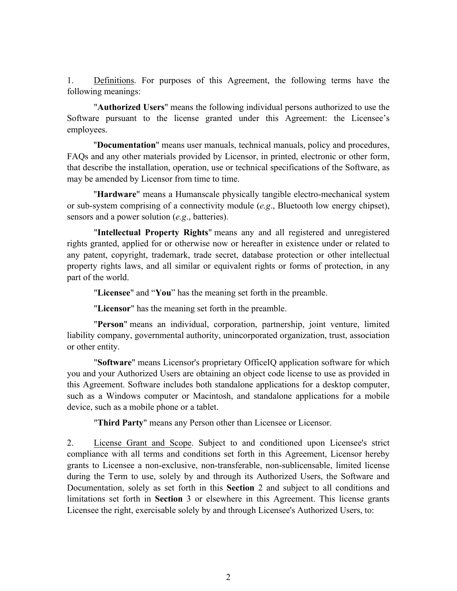1. Definitions. For purposes of this Agreement, the following terms have the following meanings:

"**Authorized Users**" means the following individual persons authorized to use the Software pursuant to the license granted under this Agreement: the Licensee's employees.

"**Documentation**" means user manuals, technical manuals, policy and procedures, FAQs and any other materials provided by Licensor, in printed, electronic or other form, that describe the installation, operation, use or technical specifications of the Software, as may be amended by Licensor from time to time.

"**Hardware**" means a Humanscale physically tangible electro-mechanical system or sub-system comprising of a connectivity module (*e.g*., Bluetooth low energy chipset), sensors and a power solution (*e.g*., batteries).

"**Intellectual Property Rights**" means any and all registered and unregistered rights granted, applied for or otherwise now or hereafter in existence under or related to any patent, copyright, trademark, trade secret, database protection or other intellectual property rights laws, and all similar or equivalent rights or forms of protection, in any part of the world.

"**Licensee**" and "**You**" has the meaning set forth in the preamble.

"**Licensor**" has the meaning set forth in the preamble.

"**Person**" means an individual, corporation, partnership, joint venture, limited liability company, governmental authority, unincorporated organization, trust, association or other entity.

"**Software**" means Licensor's proprietary OfficeIQ application software for which you and your Authorized Users are obtaining an object code license to use as provided in this Agreement. Software includes both standalone applications for a desktop computer, such as a Windows computer or Macintosh, and standalone applications for a mobile device, such as a mobile phone or a tablet.

"**Third Party**" means any Person other than Licensee or Licensor.

2. License Grant and Scope. Subject to and conditioned upon Licensee's strict compliance with all terms and conditions set forth in this Agreement, Licensor hereby grants to Licensee a non-exclusive, non-transferable, non-sublicensable, limited license during the Term to use, solely by and through its Authorized Users, the Software and Documentation, solely as set forth in this **Section** 2 and subject to all conditions and limitations set forth in **Section** 3 or elsewhere in this Agreement. This license grants Licensee the right, exercisable solely by and through Licensee's Authorized Users, to: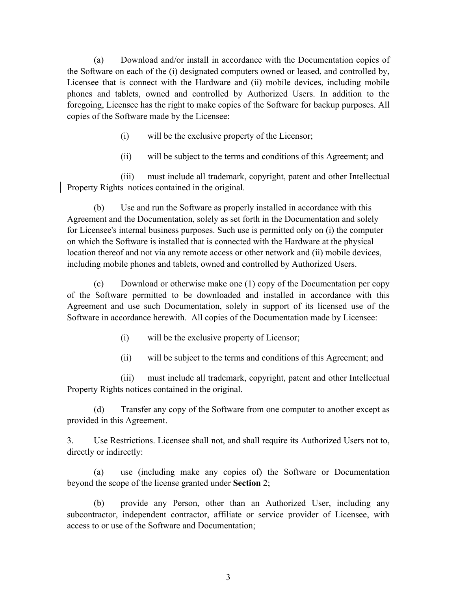(a) Download and/or install in accordance with the Documentation copies of the Software on each of the (i) designated computers owned or leased, and controlled by, Licensee that is connect with the Hardware and (ii) mobile devices, including mobile phones and tablets, owned and controlled by Authorized Users. In addition to the foregoing, Licensee has the right to make copies of the Software for backup purposes. All copies of the Software made by the Licensee:

- (i) will be the exclusive property of the Licensor;
- (ii) will be subject to the terms and conditions of this Agreement; and

(iii) must include all trademark, copyright, patent and other Intellectual Property Rights notices contained in the original.

(b) Use and run the Software as properly installed in accordance with this Agreement and the Documentation, solely as set forth in the Documentation and solely for Licensee's internal business purposes. Such use is permitted only on (i) the computer on which the Software is installed that is connected with the Hardware at the physical location thereof and not via any remote access or other network and (ii) mobile devices, including mobile phones and tablets, owned and controlled by Authorized Users.

(c) Download or otherwise make one (1) copy of the Documentation per copy of the Software permitted to be downloaded and installed in accordance with this Agreement and use such Documentation, solely in support of its licensed use of the Software in accordance herewith. All copies of the Documentation made by Licensee:

- (i) will be the exclusive property of Licensor;
- (ii) will be subject to the terms and conditions of this Agreement; and

(iii) must include all trademark, copyright, patent and other Intellectual Property Rights notices contained in the original.

(d) Transfer any copy of the Software from one computer to another except as provided in this Agreement.

3. Use Restrictions. Licensee shall not, and shall require its Authorized Users not to, directly or indirectly:

(a) use (including make any copies of) the Software or Documentation beyond the scope of the license granted under **Section** 2;

(b) provide any Person, other than an Authorized User, including any subcontractor, independent contractor, affiliate or service provider of Licensee, with access to or use of the Software and Documentation;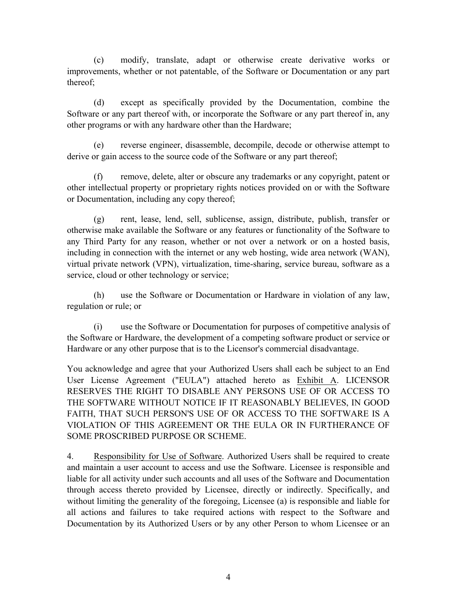(c) modify, translate, adapt or otherwise create derivative works or improvements, whether or not patentable, of the Software or Documentation or any part thereof;

(d) except as specifically provided by the Documentation, combine the Software or any part thereof with, or incorporate the Software or any part thereof in, any other programs or with any hardware other than the Hardware;

(e) reverse engineer, disassemble, decompile, decode or otherwise attempt to derive or gain access to the source code of the Software or any part thereof;

(f) remove, delete, alter or obscure any trademarks or any copyright, patent or other intellectual property or proprietary rights notices provided on or with the Software or Documentation, including any copy thereof;

(g) rent, lease, lend, sell, sublicense, assign, distribute, publish, transfer or otherwise make available the Software or any features or functionality of the Software to any Third Party for any reason, whether or not over a network or on a hosted basis, including in connection with the internet or any web hosting, wide area network (WAN), virtual private network (VPN), virtualization, time-sharing, service bureau, software as a service, cloud or other technology or service;

(h) use the Software or Documentation or Hardware in violation of any law, regulation or rule; or

(i) use the Software or Documentation for purposes of competitive analysis of the Software or Hardware, the development of a competing software product or service or Hardware or any other purpose that is to the Licensor's commercial disadvantage.

You acknowledge and agree that your Authorized Users shall each be subject to an End User License Agreement ("EULA") attached hereto as Exhibit A. LICENSOR RESERVES THE RIGHT TO DISABLE ANY PERSONS USE OF OR ACCESS TO THE SOFTWARE WITHOUT NOTICE IF IT REASONABLY BELIEVES, IN GOOD FAITH, THAT SUCH PERSON'S USE OF OR ACCESS TO THE SOFTWARE IS A VIOLATION OF THIS AGREEMENT OR THE EULA OR IN FURTHERANCE OF SOME PROSCRIBED PURPOSE OR SCHEME.

4. Responsibility for Use of Software. Authorized Users shall be required to create and maintain a user account to access and use the Software. Licensee is responsible and liable for all activity under such accounts and all uses of the Software and Documentation through access thereto provided by Licensee, directly or indirectly. Specifically, and without limiting the generality of the foregoing, Licensee (a) is responsible and liable for all actions and failures to take required actions with respect to the Software and Documentation by its Authorized Users or by any other Person to whom Licensee or an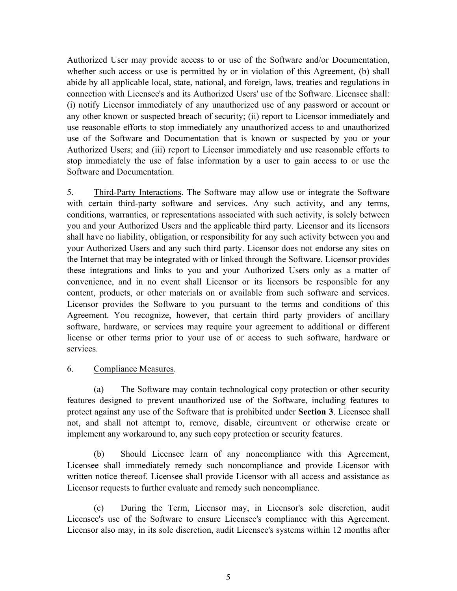Authorized User may provide access to or use of the Software and/or Documentation, whether such access or use is permitted by or in violation of this Agreement, (b) shall abide by all applicable local, state, national, and foreign, laws, treaties and regulations in connection with Licensee's and its Authorized Users' use of the Software. Licensee shall: (i) notify Licensor immediately of any unauthorized use of any password or account or any other known or suspected breach of security; (ii) report to Licensor immediately and use reasonable efforts to stop immediately any unauthorized access to and unauthorized use of the Software and Documentation that is known or suspected by you or your Authorized Users; and (iii) report to Licensor immediately and use reasonable efforts to stop immediately the use of false information by a user to gain access to or use the Software and Documentation.

5. Third-Party Interactions. The Software may allow use or integrate the Software with certain third-party software and services. Any such activity, and any terms, conditions, warranties, or representations associated with such activity, is solely between you and your Authorized Users and the applicable third party. Licensor and its licensors shall have no liability, obligation, or responsibility for any such activity between you and your Authorized Users and any such third party. Licensor does not endorse any sites on the Internet that may be integrated with or linked through the Software. Licensor provides these integrations and links to you and your Authorized Users only as a matter of convenience, and in no event shall Licensor or its licensors be responsible for any content, products, or other materials on or available from such software and services. Licensor provides the Software to you pursuant to the terms and conditions of this Agreement. You recognize, however, that certain third party providers of ancillary software, hardware, or services may require your agreement to additional or different license or other terms prior to your use of or access to such software, hardware or services.

### 6. Compliance Measures.

(a) The Software may contain technological copy protection or other security features designed to prevent unauthorized use of the Software, including features to protect against any use of the Software that is prohibited under **Section 3**. Licensee shall not, and shall not attempt to, remove, disable, circumvent or otherwise create or implement any workaround to, any such copy protection or security features.

(b) Should Licensee learn of any noncompliance with this Agreement, Licensee shall immediately remedy such noncompliance and provide Licensor with written notice thereof. Licensee shall provide Licensor with all access and assistance as Licensor requests to further evaluate and remedy such noncompliance.

(c) During the Term, Licensor may, in Licensor's sole discretion, audit Licensee's use of the Software to ensure Licensee's compliance with this Agreement. Licensor also may, in its sole discretion, audit Licensee's systems within 12 months after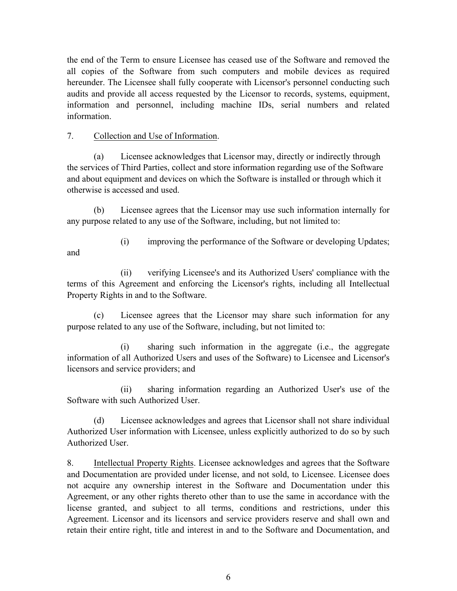the end of the Term to ensure Licensee has ceased use of the Software and removed the all copies of the Software from such computers and mobile devices as required hereunder. The Licensee shall fully cooperate with Licensor's personnel conducting such audits and provide all access requested by the Licensor to records, systems, equipment, information and personnel, including machine IDs, serial numbers and related information.

## 7. Collection and Use of Information.

(a) Licensee acknowledges that Licensor may, directly or indirectly through the services of Third Parties, collect and store information regarding use of the Software and about equipment and devices on which the Software is installed or through which it otherwise is accessed and used.

(b) Licensee agrees that the Licensor may use such information internally for any purpose related to any use of the Software, including, but not limited to:

(i) improving the performance of the Software or developing Updates; and

(ii) verifying Licensee's and its Authorized Users' compliance with the terms of this Agreement and enforcing the Licensor's rights, including all Intellectual Property Rights in and to the Software.

(c) Licensee agrees that the Licensor may share such information for any purpose related to any use of the Software, including, but not limited to:

(i) sharing such information in the aggregate (i.e., the aggregate information of all Authorized Users and uses of the Software) to Licensee and Licensor's licensors and service providers; and

(ii) sharing information regarding an Authorized User's use of the Software with such Authorized User.

(d) Licensee acknowledges and agrees that Licensor shall not share individual Authorized User information with Licensee, unless explicitly authorized to do so by such Authorized User.

8. Intellectual Property Rights. Licensee acknowledges and agrees that the Software and Documentation are provided under license, and not sold, to Licensee. Licensee does not acquire any ownership interest in the Software and Documentation under this Agreement, or any other rights thereto other than to use the same in accordance with the license granted, and subject to all terms, conditions and restrictions, under this Agreement. Licensor and its licensors and service providers reserve and shall own and retain their entire right, title and interest in and to the Software and Documentation, and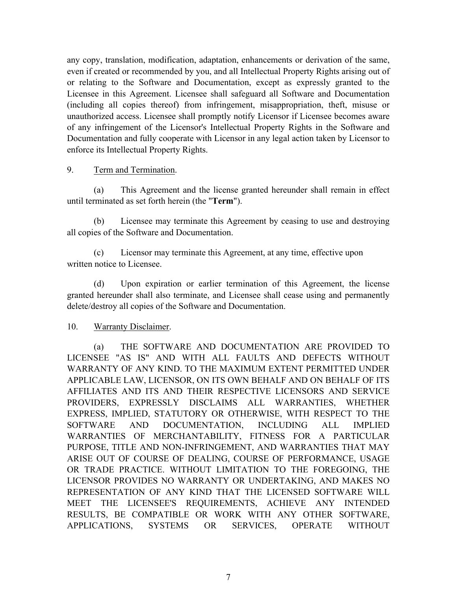any copy, translation, modification, adaptation, enhancements or derivation of the same, even if created or recommended by you, and all Intellectual Property Rights arising out of or relating to the Software and Documentation, except as expressly granted to the Licensee in this Agreement. Licensee shall safeguard all Software and Documentation (including all copies thereof) from infringement, misappropriation, theft, misuse or unauthorized access. Licensee shall promptly notify Licensor if Licensee becomes aware of any infringement of the Licensor's Intellectual Property Rights in the Software and Documentation and fully cooperate with Licensor in any legal action taken by Licensor to enforce its Intellectual Property Rights.

### 9. Term and Termination.

(a) This Agreement and the license granted hereunder shall remain in effect until terminated as set forth herein (the "**Term**").

(b) Licensee may terminate this Agreement by ceasing to use and destroying all copies of the Software and Documentation.

(c) Licensor may terminate this Agreement, at any time, effective upon written notice to Licensee.

(d) Upon expiration or earlier termination of this Agreement, the license granted hereunder shall also terminate, and Licensee shall cease using and permanently delete/destroy all copies of the Software and Documentation.

# 10. Warranty Disclaimer.

(a) THE SOFTWARE AND DOCUMENTATION ARE PROVIDED TO LICENSEE "AS IS" AND WITH ALL FAULTS AND DEFECTS WITHOUT WARRANTY OF ANY KIND. TO THE MAXIMUM EXTENT PERMITTED UNDER APPLICABLE LAW, LICENSOR, ON ITS OWN BEHALF AND ON BEHALF OF ITS AFFILIATES AND ITS AND THEIR RESPECTIVE LICENSORS AND SERVICE PROVIDERS, EXPRESSLY DISCLAIMS ALL WARRANTIES, WHETHER EXPRESS, IMPLIED, STATUTORY OR OTHERWISE, WITH RESPECT TO THE SOFTWARE AND DOCUMENTATION, INCLUDING ALL IMPLIED WARRANTIES OF MERCHANTABILITY, FITNESS FOR A PARTICULAR PURPOSE, TITLE AND NON-INFRINGEMENT, AND WARRANTIES THAT MAY ARISE OUT OF COURSE OF DEALING, COURSE OF PERFORMANCE, USAGE OR TRADE PRACTICE. WITHOUT LIMITATION TO THE FOREGOING, THE LICENSOR PROVIDES NO WARRANTY OR UNDERTAKING, AND MAKES NO REPRESENTATION OF ANY KIND THAT THE LICENSED SOFTWARE WILL MEET THE LICENSEE'S REQUIREMENTS, ACHIEVE ANY INTENDED RESULTS, BE COMPATIBLE OR WORK WITH ANY OTHER SOFTWARE, APPLICATIONS, SYSTEMS OR SERVICES, OPERATE WITHOUT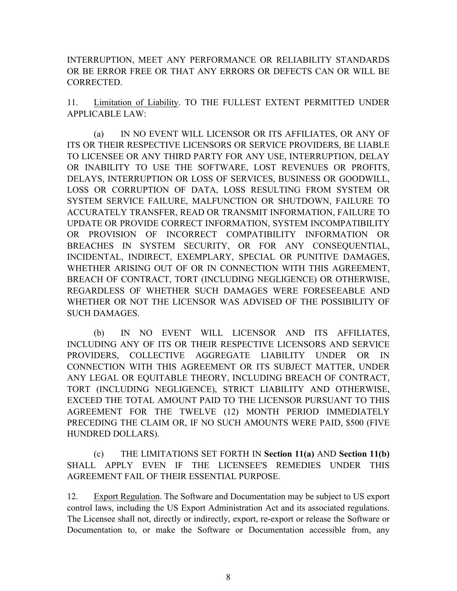INTERRUPTION, MEET ANY PERFORMANCE OR RELIABILITY STANDARDS OR BE ERROR FREE OR THAT ANY ERRORS OR DEFECTS CAN OR WILL BE CORRECTED.

11. Limitation of Liability. TO THE FULLEST EXTENT PERMITTED UNDER APPLICABLE LAW:

(a) IN NO EVENT WILL LICENSOR OR ITS AFFILIATES, OR ANY OF ITS OR THEIR RESPECTIVE LICENSORS OR SERVICE PROVIDERS, BE LIABLE TO LICENSEE OR ANY THIRD PARTY FOR ANY USE, INTERRUPTION, DELAY OR INABILITY TO USE THE SOFTWARE, LOST REVENUES OR PROFITS, DELAYS, INTERRUPTION OR LOSS OF SERVICES, BUSINESS OR GOODWILL, LOSS OR CORRUPTION OF DATA, LOSS RESULTING FROM SYSTEM OR SYSTEM SERVICE FAILURE, MALFUNCTION OR SHUTDOWN, FAILURE TO ACCURATELY TRANSFER, READ OR TRANSMIT INFORMATION, FAILURE TO UPDATE OR PROVIDE CORRECT INFORMATION, SYSTEM INCOMPATIBILITY OR PROVISION OF INCORRECT COMPATIBILITY INFORMATION OR BREACHES IN SYSTEM SECURITY, OR FOR ANY CONSEQUENTIAL, INCIDENTAL, INDIRECT, EXEMPLARY, SPECIAL OR PUNITIVE DAMAGES, WHETHER ARISING OUT OF OR IN CONNECTION WITH THIS AGREEMENT, BREACH OF CONTRACT, TORT (INCLUDING NEGLIGENCE) OR OTHERWISE, REGARDLESS OF WHETHER SUCH DAMAGES WERE FORESEEABLE AND WHETHER OR NOT THE LICENSOR WAS ADVISED OF THE POSSIBILITY OF SUCH DAMAGES.

(b) IN NO EVENT WILL LICENSOR AND ITS AFFILIATES, INCLUDING ANY OF ITS OR THEIR RESPECTIVE LICENSORS AND SERVICE PROVIDERS, COLLECTIVE AGGREGATE LIABILITY UNDER OR IN CONNECTION WITH THIS AGREEMENT OR ITS SUBJECT MATTER, UNDER ANY LEGAL OR EQUITABLE THEORY, INCLUDING BREACH OF CONTRACT, TORT (INCLUDING NEGLIGENCE), STRICT LIABILITY AND OTHERWISE, EXCEED THE TOTAL AMOUNT PAID TO THE LICENSOR PURSUANT TO THIS AGREEMENT FOR THE TWELVE (12) MONTH PERIOD IMMEDIATELY PRECEDING THE CLAIM OR, IF NO SUCH AMOUNTS WERE PAID, \$500 (FIVE HUNDRED DOLLARS).

(c) THE LIMITATIONS SET FORTH IN **Section 11(a)** AND **Section 11(b)** SHALL APPLY EVEN IF THE LICENSEE'S REMEDIES UNDER THIS AGREEMENT FAIL OF THEIR ESSENTIAL PURPOSE.

12. Export Regulation. The Software and Documentation may be subject to US export control laws, including the US Export Administration Act and its associated regulations. The Licensee shall not, directly or indirectly, export, re-export or release the Software or Documentation to, or make the Software or Documentation accessible from, any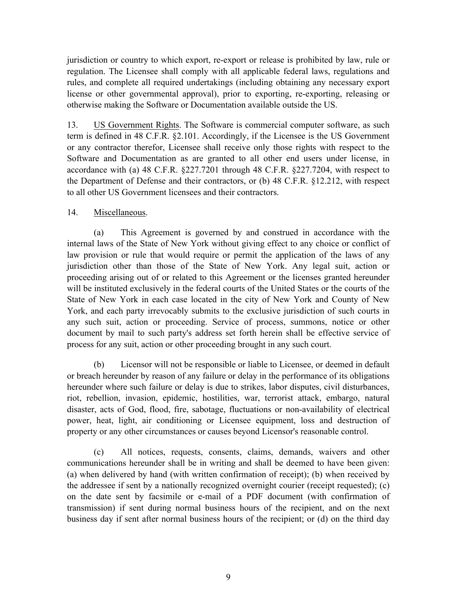jurisdiction or country to which export, re-export or release is prohibited by law, rule or regulation. The Licensee shall comply with all applicable federal laws, regulations and rules, and complete all required undertakings (including obtaining any necessary export license or other governmental approval), prior to exporting, re-exporting, releasing or otherwise making the Software or Documentation available outside the US.

13. US Government Rights. The Software is commercial computer software, as such term is defined in 48 C.F.R. §2.101. Accordingly, if the Licensee is the US Government or any contractor therefor, Licensee shall receive only those rights with respect to the Software and Documentation as are granted to all other end users under license, in accordance with (a) 48 C.F.R. §227.7201 through 48 C.F.R. §227.7204, with respect to the Department of Defense and their contractors, or (b) 48 C.F.R. §12.212, with respect to all other US Government licensees and their contractors.

# 14. Miscellaneous.

(a) This Agreement is governed by and construed in accordance with the internal laws of the State of New York without giving effect to any choice or conflict of law provision or rule that would require or permit the application of the laws of any jurisdiction other than those of the State of New York. Any legal suit, action or proceeding arising out of or related to this Agreement or the licenses granted hereunder will be instituted exclusively in the federal courts of the United States or the courts of the State of New York in each case located in the city of New York and County of New York, and each party irrevocably submits to the exclusive jurisdiction of such courts in any such suit, action or proceeding. Service of process, summons, notice or other document by mail to such party's address set forth herein shall be effective service of process for any suit, action or other proceeding brought in any such court.

(b) Licensor will not be responsible or liable to Licensee, or deemed in default or breach hereunder by reason of any failure or delay in the performance of its obligations hereunder where such failure or delay is due to strikes, labor disputes, civil disturbances, riot, rebellion, invasion, epidemic, hostilities, war, terrorist attack, embargo, natural disaster, acts of God, flood, fire, sabotage, fluctuations or non-availability of electrical power, heat, light, air conditioning or Licensee equipment, loss and destruction of property or any other circumstances or causes beyond Licensor's reasonable control.

(c) All notices, requests, consents, claims, demands, waivers and other communications hereunder shall be in writing and shall be deemed to have been given: (a) when delivered by hand (with written confirmation of receipt); (b) when received by the addressee if sent by a nationally recognized overnight courier (receipt requested); (c) on the date sent by facsimile or e-mail of a PDF document (with confirmation of transmission) if sent during normal business hours of the recipient, and on the next business day if sent after normal business hours of the recipient; or (d) on the third day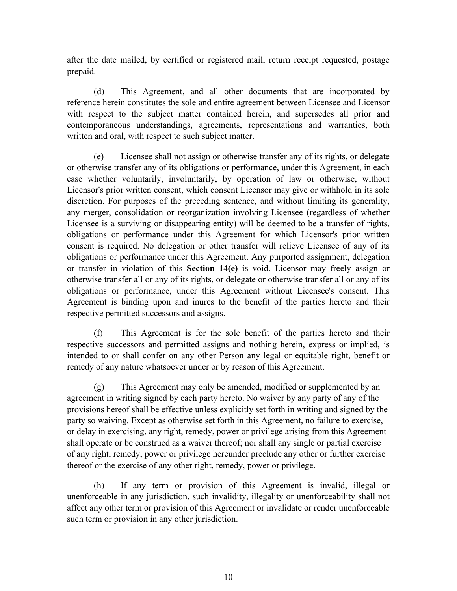after the date mailed, by certified or registered mail, return receipt requested, postage prepaid.

(d) This Agreement, and all other documents that are incorporated by reference herein constitutes the sole and entire agreement between Licensee and Licensor with respect to the subject matter contained herein, and supersedes all prior and contemporaneous understandings, agreements, representations and warranties, both written and oral, with respect to such subject matter.

(e) Licensee shall not assign or otherwise transfer any of its rights, or delegate or otherwise transfer any of its obligations or performance, under this Agreement, in each case whether voluntarily, involuntarily, by operation of law or otherwise, without Licensor's prior written consent, which consent Licensor may give or withhold in its sole discretion. For purposes of the preceding sentence, and without limiting its generality, any merger, consolidation or reorganization involving Licensee (regardless of whether Licensee is a surviving or disappearing entity) will be deemed to be a transfer of rights, obligations or performance under this Agreement for which Licensor's prior written consent is required. No delegation or other transfer will relieve Licensee of any of its obligations or performance under this Agreement. Any purported assignment, delegation or transfer in violation of this **Section 14(e)** is void. Licensor may freely assign or otherwise transfer all or any of its rights, or delegate or otherwise transfer all or any of its obligations or performance, under this Agreement without Licensee's consent. This Agreement is binding upon and inures to the benefit of the parties hereto and their respective permitted successors and assigns.

(f) This Agreement is for the sole benefit of the parties hereto and their respective successors and permitted assigns and nothing herein, express or implied, is intended to or shall confer on any other Person any legal or equitable right, benefit or remedy of any nature whatsoever under or by reason of this Agreement.

(g) This Agreement may only be amended, modified or supplemented by an agreement in writing signed by each party hereto. No waiver by any party of any of the provisions hereof shall be effective unless explicitly set forth in writing and signed by the party so waiving. Except as otherwise set forth in this Agreement, no failure to exercise, or delay in exercising, any right, remedy, power or privilege arising from this Agreement shall operate or be construed as a waiver thereof; nor shall any single or partial exercise of any right, remedy, power or privilege hereunder preclude any other or further exercise thereof or the exercise of any other right, remedy, power or privilege.

(h) If any term or provision of this Agreement is invalid, illegal or unenforceable in any jurisdiction, such invalidity, illegality or unenforceability shall not affect any other term or provision of this Agreement or invalidate or render unenforceable such term or provision in any other jurisdiction.